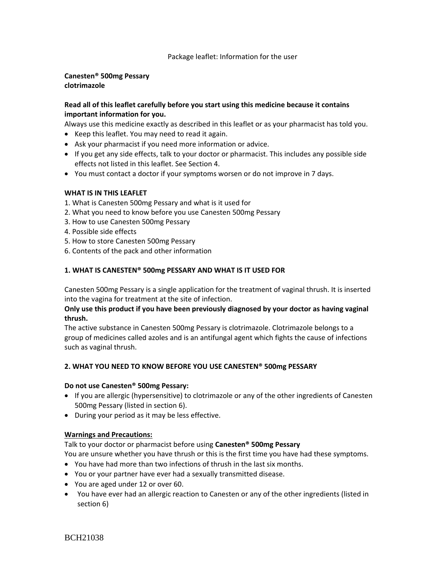#### Package leaflet: Information for the user

### **Canesten® 500mg Pessary clotrimazole**

### **Read all of this leaflet carefully before you start using this medicine because it contains important information for you.**

Always use this medicine exactly as described in this leaflet or as your pharmacist has told you.

- Keep this leaflet. You may need to read it again.
- Ask your pharmacist if you need more information or advice.
- If you get any side effects, talk to your doctor or pharmacist. This includes any possible side effects not listed in this leaflet. See Section 4.
- You must contact a doctor if your symptoms worsen or do not improve in 7 days.

### **WHAT IS IN THIS LEAFLET**

- 1. What is Canesten 500mg Pessary and what is it used for
- 2. What you need to know before you use Canesten 500mg Pessary
- 3. How to use Canesten 500mg Pessary
- 4. Possible side effects
- 5. How to store Canesten 500mg Pessary
- 6. Contents of the pack and other information

### **1. WHAT IS CANESTEN® 500mg PESSARY AND WHAT IS IT USED FOR**

Canesten 500mg Pessary is a single application for the treatment of vaginal thrush. It is inserted into the vagina for treatment at the site of infection.

### **Only use this product if you have been previously diagnosed by your doctor as having vaginal thrush.**

The active substance in Canesten 500mg Pessary is clotrimazole. Clotrimazole belongs to a group of medicines called azoles and is an antifungal agent which fights the cause of infections such as vaginal thrush.

### **2. WHAT YOU NEED TO KNOW BEFORE YOU USE CANESTEN® 500mg PESSARY**

#### **Do not use Canesten® 500mg Pessary:**

- If you are allergic (hypersensitive) to clotrimazole or any of the other ingredients of Canesten 500mg Pessary (listed in section 6).
- During your period as it may be less effective.

### **Warnings and Precautions:**

Talk to your doctor or pharmacist before using **Canesten® 500mg Pessary**

You are unsure whether you have thrush or this is the first time you have had these symptoms.

- You have had more than two infections of thrush in the last six months.
- You or your partner have ever had a sexually transmitted disease.
- You are aged under 12 or over 60.
- You have ever had an allergic reaction to Canesten or any of the other ingredients (listed in section 6)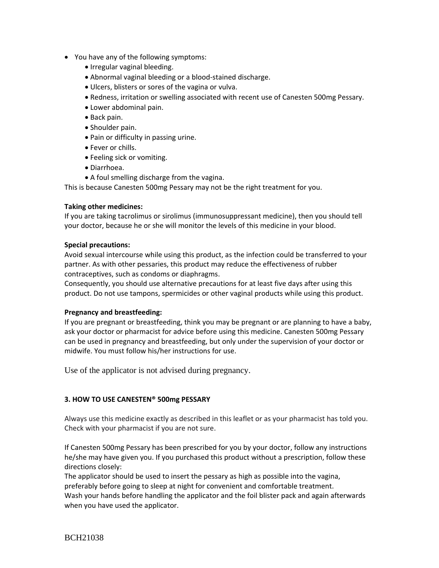- You have any of the following symptoms:
	- Irregular vaginal bleeding.
	- Abnormal vaginal bleeding or a blood-stained discharge.
	- Ulcers, blisters or sores of the vagina or vulva.
	- Redness, irritation or swelling associated with recent use of Canesten 500mg Pessary.
	- Lower abdominal pain.
	- Back pain.
	- Shoulder pain.
	- Pain or difficulty in passing urine.
	- Fever or chills.
	- Feeling sick or vomiting.
	- Diarrhoea.
	- A foul smelling discharge from the vagina.

This is because Canesten 500mg Pessary may not be the right treatment for you.

### **Taking other medicines:**

If you are taking tacrolimus or sirolimus (immunosuppressant medicine), then you should tell your doctor, because he or she will monitor the levels of this medicine in your blood.

### **Special precautions:**

Avoid sexual intercourse while using this product, as the infection could be transferred to your partner. As with other pessaries, this product may reduce the effectiveness of rubber contraceptives, such as condoms or diaphragms.

Consequently, you should use alternative precautions for at least five days after using this product. Do not use tampons, spermicides or other vaginal products while using this product.

### **Pregnancy and breastfeeding:**

If you are pregnant or breastfeeding, think you may be pregnant or are planning to have a baby, ask your doctor or pharmacist for advice before using this medicine. Canesten 500mg Pessary can be used in pregnancy and breastfeeding, but only under the supervision of your doctor or midwife. You must follow his/her instructions for use.

Use of the applicator is not advised during pregnancy.

### **3. HOW TO USE CANESTEN® 500mg PESSARY**

Always use this medicine exactly as described in this leaflet or as your pharmacist has told you. Check with your pharmacist if you are not sure.

If Canesten 500mg Pessary has been prescribed for you by your doctor, follow any instructions he/she may have given you. If you purchased this product without a prescription, follow these directions closely:

The applicator should be used to insert the pessary as high as possible into the vagina, preferably before going to sleep at night for convenient and comfortable treatment. Wash your hands before handling the applicator and the foil blister pack and again afterwards when you have used the applicator.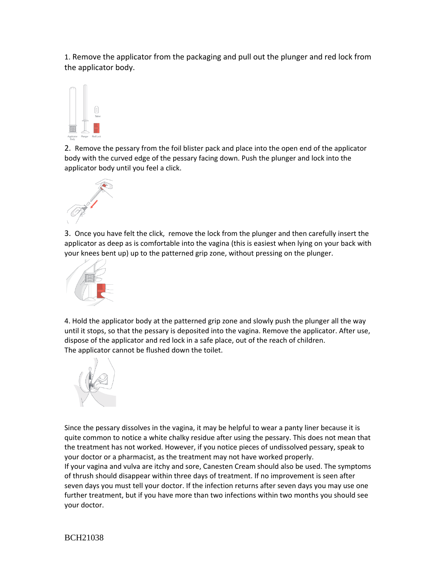1. Remove the applicator from the packaging and pull out the plunger and red lock from the applicator body.



2. Remove the pessary from the foil blister pack and place into the open end of the applicator body with the curved edge of the pessary facing down. Push the plunger and lock into the applicator body until you feel a click.



3. Once you have felt the click, remove the lock from the plunger and then carefully insert the applicator as deep as is comfortable into the vagina (this is easiest when lying on your back with your knees bent up) up to the patterned grip zone, without pressing on the plunger.



4. Hold the applicator body at the patterned grip zone and slowly push the plunger all the way until it stops, so that the pessary is deposited into the vagina. Remove the applicator. After use, dispose of the applicator and red lock in a safe place, out of the reach of children. The applicator cannot be flushed down the toilet.



Since the pessary dissolves in the vagina, it may be helpful to wear a panty liner because it is quite common to notice a white chalky residue after using the pessary. This does not mean that the treatment has not worked. However, if you notice pieces of undissolved pessary, speak to your doctor or a pharmacist, as the treatment may not have worked properly.

If your vagina and vulva are itchy and sore, Canesten Cream should also be used. The symptoms of thrush should disappear within three days of treatment. If no improvement is seen after seven days you must tell your doctor. If the infection returns after seven days you may use one further treatment, but if you have more than two infections within two months you should see your doctor.

BCH21038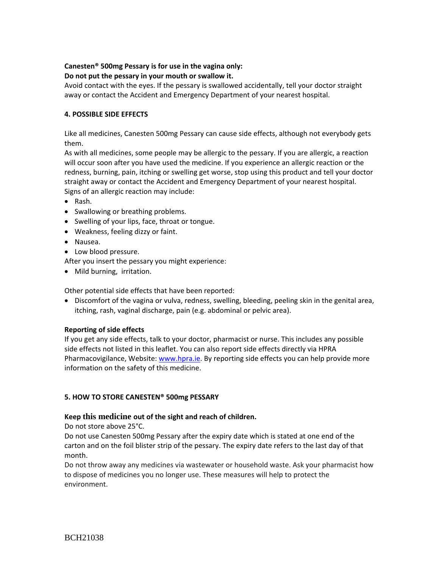## **Canesten® 500mg Pessary is for use in the vagina only:**

### **Do not put the pessary in your mouth or swallow it.**

Avoid contact with the eyes. If the pessary is swallowed accidentally, tell your doctor straight away or contact the Accident and Emergency Department of your nearest hospital.

### **4. POSSIBLE SIDE EFFECTS**

Like all medicines, Canesten 500mg Pessary can cause side effects, although not everybody gets them.

As with all medicines, some people may be allergic to the pessary. If you are allergic, a reaction will occur soon after you have used the medicine. If you experience an allergic reaction or the redness, burning, pain, itching or swelling get worse, stop using this product and tell your doctor straight away or contact the Accident and Emergency Department of your nearest hospital. Signs of an allergic reaction may include:

- Rash.
- Swallowing or breathing problems.
- Swelling of your lips, face, throat or tongue.
- Weakness, feeling dizzy or faint.
- Nausea.
- Low blood pressure.

After you insert the pessary you might experience:

• Mild burning, irritation.

Other potential side effects that have been reported:

 Discomfort of the vagina or vulva, redness, swelling, bleeding, peeling skin in the genital area, itching, rash, vaginal discharge, pain (e.g. abdominal or pelvic area).

### **Reporting of side effects**

If you get any side effects, talk to your doctor, pharmacist or nurse. This includes any possible side effects not listed in this leaflet. You can also report side effects directly via HPRA Pharmacovigilance, Website[: www.hpra.ie.](http://www.hpra.ie/) By reporting side effects you can help provide more information on the safety of this medicine.

### **5. HOW TO STORE CANESTEN® 500mg PESSARY**

### **Keep this medicine out of the sight and reach of children.**

Do not store above 25°C.

Do not use Canesten 500mg Pessary after the expiry date which is stated at one end of the carton and on the foil blister strip of the pessary. The expiry date refers to the last day of that month.

Do not throw away any medicines via wastewater or household waste. Ask your pharmacist how to dispose of medicines you no longer use. These measures will help to protect the environment.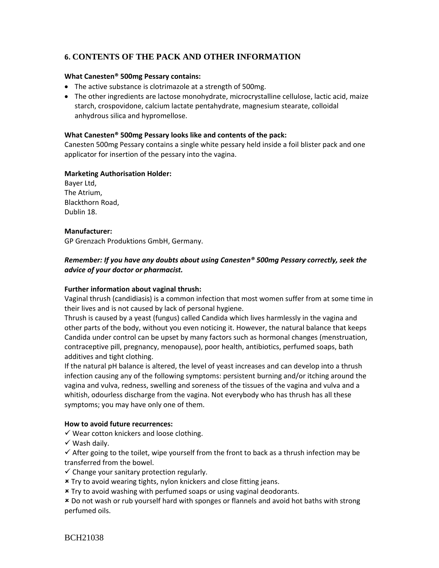# **6. CONTENTS OF THE PACK AND OTHER INFORMATION**

#### **What Canesten® 500mg Pessary contains:**

- The active substance is clotrimazole at a strength of 500mg.
- The other ingredients are lactose monohydrate, microcrystalline cellulose, lactic acid, maize starch, crospovidone, calcium lactate pentahydrate, magnesium stearate, colloidal anhydrous silica and hypromellose.

#### **What Canesten® 500mg Pessary looks like and contents of the pack:**

Canesten 500mg Pessary contains a single white pessary held inside a foil blister pack and one applicator for insertion of the pessary into the vagina.

#### **Marketing Authorisation Holder:**

Bayer Ltd, The Atrium, Blackthorn Road, Dublin 18.

#### **Manufacturer:**

GP Grenzach Produktions GmbH, Germany.

### *Remember: If you have any doubts about using Canesten® 500mg Pessary correctly, seek the advice of your doctor or pharmacist.*

### **Further information about vaginal thrush:**

Vaginal thrush (candidiasis) is a common infection that most women suffer from at some time in their lives and is not caused by lack of personal hygiene.

Thrush is caused by a yeast (fungus) called Candida which lives harmlessly in the vagina and other parts of the body, without you even noticing it. However, the natural balance that keeps Candida under control can be upset by many factors such as hormonal changes (menstruation, contraceptive pill, pregnancy, menopause), poor health, antibiotics, perfumed soaps, bath additives and tight clothing.

If the natural pH balance is altered, the level of yeast increases and can develop into a thrush infection causing any of the following symptoms: persistent burning and/or itching around the vagina and vulva, redness, swelling and soreness of the tissues of the vagina and vulva and a whitish, odourless discharge from the vagina. Not everybody who has thrush has all these symptoms; you may have only one of them.

#### **How to avoid future recurrences:**

 $\checkmark$  Wear cotton knickers and loose clothing.

 $\checkmark$  Wash daily.

 $\checkmark$  After going to the toilet, wipe yourself from the front to back as a thrush infection may be transferred from the bowel.

- $\checkmark$  Change your sanitary protection regularly.
- Try to avoid wearing tights, nylon knickers and close fitting jeans.

Try to avoid washing with perfumed soaps or using vaginal deodorants.

 Do not wash or rub yourself hard with sponges or flannels and avoid hot baths with strong perfumed oils.

BCH21038